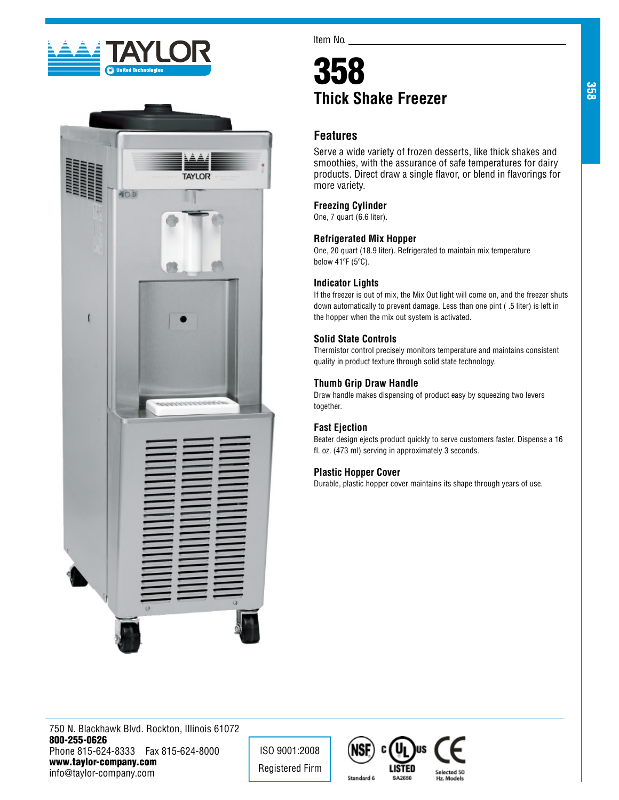



Item No.

# 358 **Thick Shake Freezer**

## **Features**

Serve a wide variety of frozen desserts, like thick shakes and smoothies, with the assurance of safe temperatures for dairy products. Direct draw a single flavor, or blend in flavorings for more variety.

## **Freezing Cylinder**

One, 7 quart (6.6 liter).

## **Refrigerated Mix Hopper**

One, 20 quart (18.9 liter). Refrigerated to maintain mix temperature below 41ºF (5ºC).

## **Indicator Lights**

If the freezer is out of mix, the Mix Out light will come on, and the freezer shuts down automatically to prevent damage. Less than one pint ( .5 liter) is left in the hopper when the mix out system is activated.

## **Solid State Controls**

Thermistor control precisely monitors temperature and maintains consistent quality in product texture through solid state technology.

## **Thumb Grip Draw Handle**

Draw handle makes dispensing of product easy by squeezing two levers together.

## **Fast Ejection**

Beater design ejects product quickly to serve customers faster. Dispense a 16 fl. oz. (473 ml) serving in approximately 3 seconds.

## **Plastic Hopper Cover**

Durable, plastic hopper cover maintains its shape through years of use.

750 N. Blackhawk Blvd. Rockton, Illinois 61072 800-255-0626 Phone 815-624-8333 Fax 815-624-8000 www.taylor-company.com info@taylor-company.com

ISO 9001:2008 Registered Firm